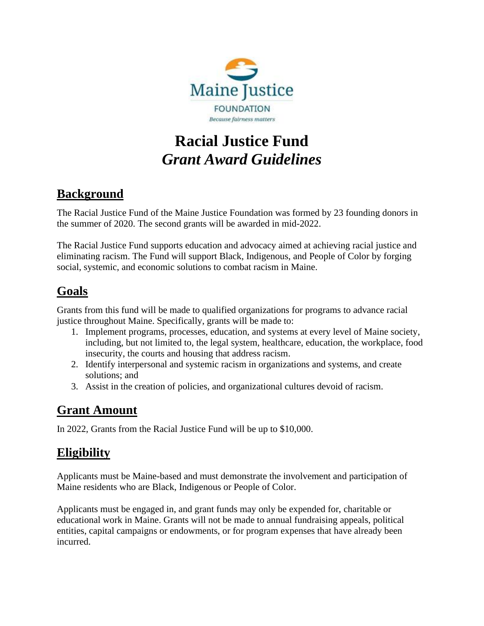

# **Racial Justice Fund** *Grant Award Guidelines*

# **Background**

The Racial Justice Fund of the Maine Justice Foundation was formed by 23 founding donors in the summer of 2020. The second grants will be awarded in mid-2022.

The Racial Justice Fund supports education and advocacy aimed at achieving racial justice and eliminating racism. The Fund will support Black, Indigenous, and People of Color by forging social, systemic, and economic solutions to combat racism in Maine.

# **Goals**

Grants from this fund will be made to qualified organizations for programs to advance racial justice throughout Maine. Specifically, grants will be made to:

- 1. Implement programs, processes, education, and systems at every level of Maine society, including, but not limited to, the legal system, healthcare, education, the workplace, food insecurity, the courts and housing that address racism.
- 2. Identify interpersonal and systemic racism in organizations and systems, and create solutions; and
- 3. Assist in the creation of policies, and organizational cultures devoid of racism.

#### **Grant Amount**

In 2022, Grants from the Racial Justice Fund will be up to \$10,000.

#### **Eligibility**

Applicants must be Maine-based and must demonstrate the involvement and participation of Maine residents who are Black, Indigenous or People of Color.

Applicants must be engaged in, and grant funds may only be expended for, charitable or educational work in Maine. Grants will not be made to annual fundraising appeals, political entities, capital campaigns or endowments, or for program expenses that have already been incurred.